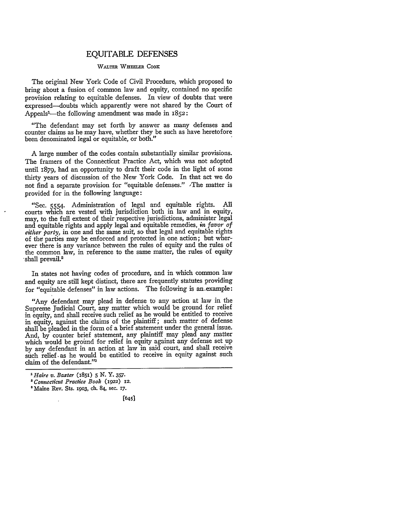## **EQUITABLE DEFENSES**

## **WALTER WHEELER COOK**

The original New York Code of Civil Procedure, which proposed to bring about a fusion of common law and equity, contained no specific provision relating to equitable defenses. In view of doubts that were expressed-doubts which apparently were not shared by the Court of Appeals<sup>1</sup>—the following amendment was made in 1852:

"The defendant may set forth by answer as many defenses and counter claims as he may have, whether they be such as have heretofore been denominated legal or equitable, or both."

A large number of the codes contain substantially similar provisions. The framers of the Connecticut Practice Act, which was not adopted until 1879, had an opportunity to draft their code in the light of some thirty years of discussion of the New York Code. In that act we do not find a separate provision for "equitable defenses." ,The matter is provided for in the following language:

"Sec. 5554. Administration of legal and equitable rights. All courts which are vested with jurisdiction both in law and in equity, may, to the full extent of their respective jurisdictions, administer legal and equitable rights and apply legal and equitable remedies, *in favor of either party,* in one and the same suit, so that legal and equitable rights of the parties may be enforced and protected in one action; but wherever there is any variance between the rules of equity and the rules of the common law, in reference to the same matter, the rules of equity shall prevail.<sup>2</sup>

In states not having codes of procedure, and in which common law and equity are still kept distinct, there are frequently statutes providing for "equitable defenses" in law actions. The following is an.example:

"Any defendant may plead in defense to any action at law in the Supreme Judicial Court, any matter which would be ground for relief in equity, and shall receive such relief as he would be entitled to receive in equity, against the claims of the plaintiff; such matter of defense shall be pleaded in the form of a brief statement under the general issue. And, by counter brief statement, any plaintiff may plead any matter which would be groind for relief in equity against any defense set up by any defendant in an action at law in said court, and shall receive such relief as he would be entitled to receive in equity against such claim of the defendant."3

'Maine Rev. Sts. **i9o3,** cI. 84, sec. **17.**

*<sup>1</sup>Haire v. Baxter (,851) 5* **N.** Y. 357.

*<sup>&#</sup>x27;Conjecticut Practice Book* **(ig2z) 12.**

<sup>[6451</sup>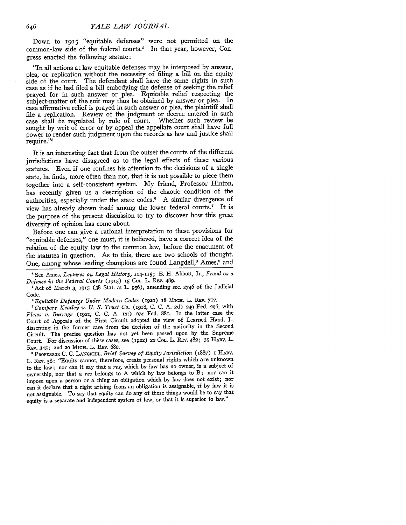Down to 1915 "equitable defenses" were not permitted on the common-law side of the federal courts.<sup>4</sup> In that year, however, Congress enacted the following statute:

"In all actions at law equitable defenses may be interposed by answer, plea, or replication without the necessity of filing a bill on the equity side of the court. The defendant shall have the same rights in such case as if he had filed a bill embodying the defense of seeking the relief prayed for in such answer or plea. Equitable relief respecting the subject-matter of the suit may thus be obtained by answer or plea. In case affirmative relief is prayed in such answer or plea, the plaintiff shall file a replication. Review of the judgment or decree entered in such case shall be regulated by rule of court. Whether such review be sought by writ of error or by appeal the appellate court shall have full power to render such judgment upon the records as law and justice shall require."<sup>5</sup>

It is an interesting fact that from the outset the courts of the different jurisdictions have disagreed as to the legal effects of these various statutes. Even if one confines his attention to the decisions of a single state, he finds, more often than not, that it is not possible to piece them together into a self-consistent system. My friend, Professor Hinton, has recently given us a description of the chaotic condition of the authorities, especially under the state codes.6 A similar divergence of view has already shown itself among the lower federal courts.7 It is the purpose of the present discussion to try to discover how this great diversity of opinion has come about.

Before one can give a rational interpretation to these provisions for "equitable defenses," one must, it is believed, have a correct idea of the relation of the equity law to the common law, before the enactment of the statutes in question. As to this, there are two schools of thought. One, among whose leading champions are found Langdell,<sup>8</sup> Ames,<sup>9</sup> and

' See Ames, *Lectures on Legal History,* 104-115; **E.** H. Abbott, Jr., *Fraud as a Defese in the Federal Courts* (1915) 15 COL. L. REv. 489.

'Act of March 3, 1915 (38 Stat. at L. **956),** amending sec. 2746 of the Judicial Code.

*'Equitable Defewes Under Modern Codes* (192o) 18 MICH. L. REv. 717.

*Compare Keatley v. U. S. Trust Co.* (1gi8, C. C. A. **2d)** 249 Fed. **296,** with *Plews v. Burrage* (1921, C. C. A. Ist) 274 Fed. 881. In the latter case the Court of Appeals of the First Circuit adopted the view of Learned Hand, **J.,** dissenting in the former case from the decision of the majority in the Second Circuit. The precise question has not yet been passed upon by the Supreme Court. For discussion of these cases, see (1922) 22 Col. L. REv. 482; 35 HARV. L. REV. 345; and 20 MICH. L. REv. 68o.

**8** PROFESSOR **C. C.** LANGDELL, *Brief Survey of Equity Jurisdiction* (1887) I HARv. L. REv. **58:** "Equity cannot, therefore, create personal rights which are unknown to the law; nor can it say that a *res,* which **by** law has no owner, is a subject of ownership, nor that a res belongs to A which **by** law belongs to B; nor can it impose upon a person or a thing an obligation which **by** law does not exist; nor can it declare that a right arising from an obligation is assignable, if **by** law it is not assignable. To say that equity can do any of these things would be to say that equity is a separate and independent system of law, or that it is superior to law."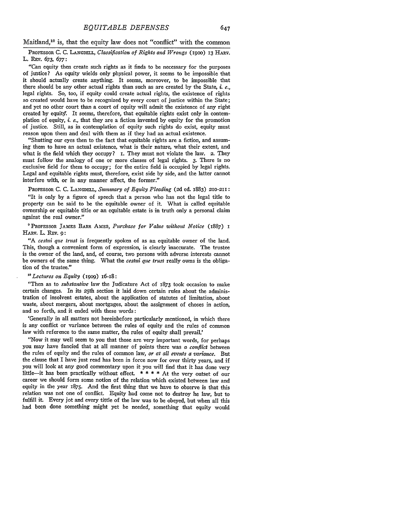Maitland,<sup>10</sup> is, that the equity law does not "conflict" with the common

PROFESSOR C. **C. LANGDELL,** *Classification of Rights and Wrongs* (1goo) 13 **HARV.** L. **REv.** 673, *677:*

"Can equity then create such rights as it finds to be necessary for the purposes of justice? As equity wields only physical power, it seems to be impossible that it should actually create anything. It seems, moreover, to be impossible that there should be any other actual rights than such as are created by the State, *i. e.,* legal rights. So, too, if equity could create actual rights, the existence of rights so created would have to be recognized by every court of justice within the State; and yet no other court than a court of equity will admit the existence of any right created by equity. It seems, therefore, that equitable rights exist only in contemplation of equity, *i. e.,* that they are a fiction invented by equity for the promotion of justice. Still, as in contemplation of equity such rights do exist, equity must reason upon them and deal with them as if they had an actual existence.

"Shutting our eyes then to the fact that equitable rights are a fiction, and assuming them to have an actual existence, what is their nature, what their extent, and what is the field which they occupy? **i.** They must not violate the law. 2. They must follow the analogy of one or more classes of legal rights. 3. There is no exclusive field for them to occupy; for the entire field is occupied by legal rights. Legal and equitable rights must, therefore, exist side by side, and the latter cannot interfere with, or in any manner affect, the former."

PROFESSOR C. C. **LANGDELL,** *Summary of Equity Pleading* **(2d** ed. 1883) 210-211:

"It is only by a figure of speech that a person who has not the legal title to property can be said to be the equitable owner of it. What is called equitable ownership or equitable title or an equitable estate is in truth only a personal claim against the real owner."

## ' PROFESSOR **JAMES** BARR **AMES,** *Purchase for Value without Notice* (1887) **<sup>I</sup>** HARV. L. Rxv. **9:**

*"A cestui que triust* is frequently spoken of as an equitable owner of the land. This, though a convenient form of expression, is clearly inaccurate. The trustee is the owner of the land, and, of course, two persons with adverse interests cannot be owners of the same thing. What the *cestai que truest* really owns is the obligation of the trustee."

## *" Lectures on Equity* **(19o9)** 16-i8:

"Then as to *substantive* law the Judicature Act of 1873 took occasion to make certain changes. In its 25th section it laid down certain rules about the administration of insolvent estates, about the application of statutes of limitation, about waste, about mergers, about mortgages, about the assignment of choses in action, and so forth, and it ended with these words:

'Generally in all matters not hereinbefore particularly mentioned, in which there is any conflict or variance between the rules of equity and the rules of common law with reference to the same matter, the rules of equity shall prevail.'

"Now it may well seem to you that those are very important words, for perhaps you may have fancied that at all manner of points there was *a conflict* between the rules of equity and the rules of common law, *or at all events a variance.* But the clause that I have just read has been in force now for over thirty years, and if you will look at any good commentary upon it you will find that it has done very little-it has been practically without effect. **\* \* \* \*** At the very outset of our career we should form some notion of the relation which existed between law and equity in the year 1875. And the first thing that we have to observe is that this relation was not one of conflict. Equity had come not to destroy he law, but to fulfill it. Every jot and every tittle of the law was to be obeyed, but when all this had been done something might yet be needed, something that equity would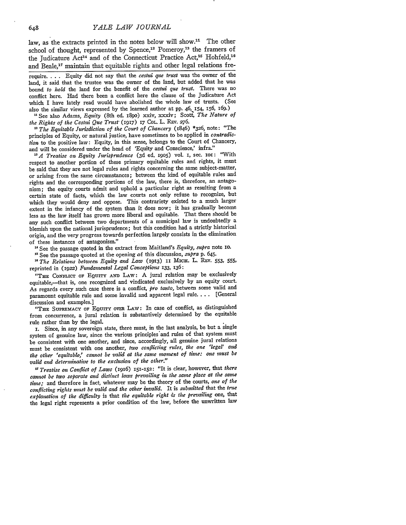law, as the extracts printed in the notes below will show.<sup>11</sup> The other school of thought, represented by Spence,<sup>12</sup> Pomeroy,<sup>13</sup> the framers of the Judicature Act<sup>14</sup> and of the Connecticut Practice Act,<sup>15</sup> Hohfeld,<sup>16</sup> and Beale,<sup>17</sup> maintain that equitable rights and other legal relations fre-

require **....** Equity did not say that the *cestui que* trust was the owner of the land, it said that the trustee was the owner of the land, but added that he was bound *to hold* the land for the benefit of the *cestui que trust.* There was no conflict here. Had there been a conflict here the clause of the Judicature Act which I have lately read would have abolished the whole law of trusts. (See also the similar views expressed by the learned author at pp. 46, 154, 156, 169.)

'See also Adams, *Equity* (8th ed. 189o) xxiv, xxxiv; Scott, *The Nature of the Rights of the Cestui Que Trust,* (1917) 17 **COL.** L. **REv. 276.**

<sup>12</sup> The Equitable Jurisdiction of the Court of Chancery (1846) \*326, note: "The principles of Equity, or natural justice, have sometimes to be applied in *contradiction* to the positive law: Equity, in this sense, belongs to the Court of Chancery, and will be considered under the head of 'Equity and Conscience,' infra."

<sup>13</sup> A Treatise on Equity Jurisprudence (3d ed. 1905) vol. 1, sec. 101: "With respect to another portion of these primary equitable rules and rights, it must be said that they are not legal rules and rights concerning the same subject-matter, or arising from the same circumstances; between the kind of equitable rules and rights and the corresponding portions of the law, there is, therefore, an antagonism; the equity courts admit and uphold a particular right as resulting from a certain state of facts, which the law courts not only refuse to recognize, but which they would deny and oppose. This contrariety existed to a much larger extent in the infancy of the system than it does now; it has gradually become less as the law itself has grown more liberal and equitable. That there should be any such conflict between two departments of a municipal law is undoubtedly a blemish upon the national jurisprudence; but this condition had a strictly historical origin, and the very progress towards perfection largely consists in the elimination of these instances of antagonism."

**<sup>1</sup>**See the passage quoted in the extract from Maitland's *Equity, supra* note **1o.**

<sup>15</sup> See the passage quoted at the opening of this discussion, *supra* p. 645.

*<sup>18</sup>The Relations between Equity and Law* (1913) 11 MIcH. L. **REV.** 553, 555, reprinted in (1922) *Fundamental Legal Conceptions* 133, 136:

**"THE** CoNFLICr OF EQUITY **AND** LAw: A jural relation may be exclusively equitable,-that is, one recognized and vindicated exclusively by an equity court. As regards every such case there is a conflict, *pro tanto,* between some valid and paramount equitable rule and some invalid and apparent legal rule.... [General discussion and examples.]

"THE SUPREMACY OF EQUITY OVER LAW: In case of conflict, as distinguished from concurrence, a jural relation is substantively determined by the equitable rule rather than by the legal.

**I.** Since, in any sovereign state, there must, in the last analysis, be but a single system of genuine law, since the various principles'and rules of that system must be consistent with one another, and since, accordingly, all genuine jural relations must be consistent with one another, *two conflicting rules, the one 'legal' and the other 'equitable,' cannot be valid at the same moment of time: one mnst be valid and determinative to the exclusion of the other."*

<sup>17</sup> *Treatise on Conflict of Laws* (1916) 151-152: "It is clear, however, that there *cannot be two separate and distinct laws prevailing in the same place ctt the same time;* and therefore in fact, whatever may be the theory of the courts, *one of the conflicting rights inust be valid and the other invalid.* It is *submitted* that the *true explanation of the difficulty* is that *the equitable right is the prevailing* one, that the legal right represents a prior condition of the law, before the unwritten law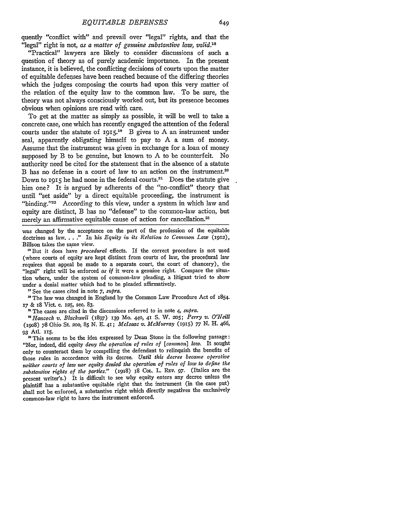quently "conflict with" and prevail over "legal" rights, and that the "legal" right is not, *as a matter of genuine substantive law, valid.'8*

"Practical" lawyers are likely to consider discussions of such a question of theory as of purely academic importance. In the present instance, it is believed, the conflicting decisions of courts upon the matter of equitable defenses have been reached because of the differing theories which the judges composing the courts had upon this very matter of the relation of the equity law to the common law. To be sure, the theory was not always consciously worked out, but its presence becomes obvious when opinions are read with care.

To get at the matter as simply as possible, it will be well to take a concrete case, one which has recently engaged the attention of the federal courts under the statute of  $1915$ .<sup>10</sup> B gives to A an instrument under seal, apparently obligating himself to pay to A a sum of money. Assume that the instrument was given in exchange for a loan of money supposed by B to be genuine, but known to A to be counterfeit. No authority need be cited for the statement that in the absence of a statute B has no defense in a court of law to an action on the instrument.<sup>20</sup> Down to 1915 he had none in the federal courts.<sup>21</sup> Does the statute give him one? It is argued by adherents of the "no-conflict" theory that until "set aside" by a direct equitable proceeding, the instrument is "binding." $22$  According to this view, under a system in which law and equity are distinct, B has no "defense" to the common-law action, but merely an affirmative equitable cause of action for cancellation.<sup>23</sup>

was changed by the acceptance on the part of the profession of the equitable doctrines as law. . . **."** In his *Equity in its Relation to Common Law* (1912), Billson takes the same view.

<sup>18</sup> But it does have *procedural* effects. If the correct procedure is not used (where courts of equity are kept distinct from courts of law, the procedural law requires that appeal be made to a separate court, the court of chancery), the "legal" right will be enforced *as if* it were a genuine right. Compare the situation where, under the system of common-law pleading, a litigant tried to show under a denial matter which had to be pleaded affirmatively.

**"'** See the cases cited in note 7, *supra.*

**"'** The law was changed in England **by** the Common Law Procedure Act of 1854. **17** & i8 Vict. c. **125,** sec. **83.**

**"** The cases are cited in the discussions referred to in note 4, *supra.*

*"Hancock v. Blackwell* (1897) **139** Mo. 440, **41 S.** W. **205;** *Perry v. O'Neill* (19o8) 78 Ohio St. **200, 85 N. E.** 41; *Mclsaac v. McMurray* **(i9,5) 77** N. H. 466, **93** Atl. **115.**

<sup>22</sup> This seems to be the idea expressed by Dean Stone in the following passage: "Nor, indeed, did equity *deny the operation of rules of [common] law.* It sought only to counteract them by compelling the defendant to relinquish the benefits of those rules in accordance with its decree. *Until this decree became operative neither courts of law 1wr equdty denied the operation of rules of law to define the substantive rights of the parties."* (1918) **i8 CoL.** L. **REv.** *97.* (Italics are the present writer's.) It is difficult to see why equity enters any decree unless the plaintiff has a substantive equitable right that the instrument (in the case put) shall not be enforced, a substantive right which directly negatives the exclusively common-law right to have the instrument enforced.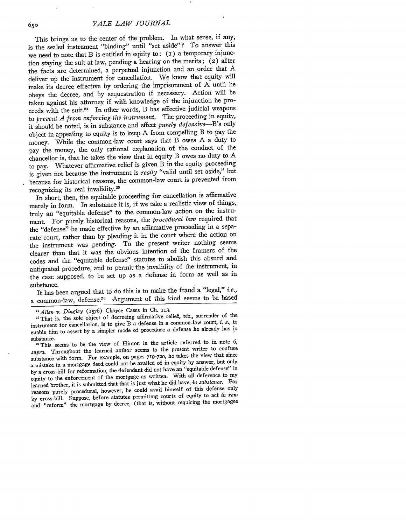This brings us to the center of the problem. In what sense, if any, is the sealed instrument "binding" until "set aside"? To answer this we need to note that B is entitled in equity to: (1) a temporary injunction staying the suit at law, pending a hearing on the merits; (2) after the facts are determined, a perpetual injunction and an order that A deliver up the instrument for cancellation. We know that equity will make its decree effective by ordering the imprisonment of **A** until he obeys the decree, and by sequestration if necessary. Action will be taken against his attorney if with knowledge of the injunction he proceeds with the suit.<sup>24</sup> In other words, B has effective judicial weapons to *prevent A from enforcing the instrument.* The proceeding in equity, it should be noted, is in substance and effect *purely defensive-B's* only object in appealing to equity is to keep A from compelling B to pay the money. While the common-law court says that B owes A a duty to pay the money, the only rational explanation of the conduct of the chancellor is, that he takes the view that in equity B owes no duty to A to pay. Whatever affirmative relief is given B in the equity proceeding is given not because the instrument is *really* "valid until set aside," but because for historical reasons, the common-law court is prevented from recognizing its real invalidity.25

In short, then, the equitable proceeding for cancellation is affirmative merely in form. In substance it is, if we take a realistic view of things, truly an "equitable defense" to the common-law action on the instrument. For purely historical reasons, the *procedural law* required that the "defense" be made effective by an affirmative proceeding in a separate court, rather than **by** pleading it in the court where the action on the instrument was pending. To the present writer nothing seems clearer than that it was the obvious intention of the framers of the codes and the "equitable defense" statutes to abolish this absurd and antiquated procedure, and to permit the invalidity of the instrument, in the case supposed, to be set up as a defense in form as well as in substance.

It has been argued that to do this is to make the fraud a "legal," *i.e.,* a common-law, defense.<sup>26</sup> Argument of this kind seems to be based

That is, the sole object of decreeing affirmative relief, *via.,* surrender of the instrument for cancellation, is to give B a defense in a common-law court, i. *e.,* to enable him to assert by a simpler mode of procedure a defense he already has in substance.

<sup>26</sup> This seems to be the view of Hinton in the article referred to in note 6, supra. Throughout the learned author seems to the present writer to confuse substance with form. For example, on pages 719-72o, he takes the view that since a mistake in a mortgage deed could not be availed of in equity by answer, but only by a cross-bill for reformation, the defendant did not have an "equitable defense" in equity to the enforcement of the mortgage as written. With all deference to my learned brother, it is submitted that that is just what he did have, *in substance.* For reasons purely procedural, however, he could avail himself of this defense only by cross-bill. Suppose, before statutes permitting courts of equity to act *in rein* and "reform" the mortgage by decree, (that is, without requiring the mortgagee

*<sup>21</sup>Allen v. Dingley* (1576) Choyce Cases in **Ch.** 113.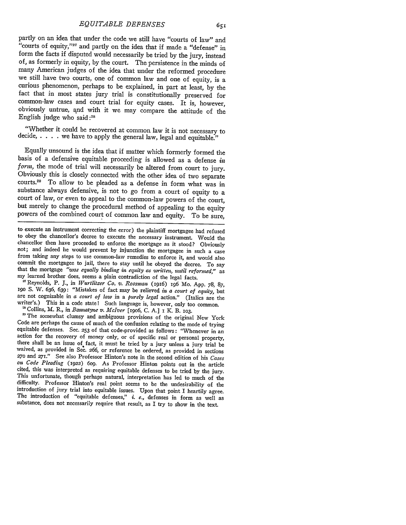*EQUITABLE DEFENSES*

partly on an idea that under the code we still have "courts of law" and "courts of equity, '27 and partly on the idea that if made a "defense" in form the facts if disputed would necessarily be tried by the jury, instead of, as formerly in equity, by the court. The persistence in the minds of many American judges of the idea that under the reformed procedure we still have two courts, one of common law and one of equity, is a curious phenomenon, perhaps to be explained, in part at least, by the fact that in most states jury trial is constitutionally preserved for common-law cases and court trial for equity cases. It is, however, obviously untrue, and with it we may compare the attitude of the English judge who said **:28**

"Whether it could be recovered at common law it is not necessary to decide, **. . . .** we have to apply the general law, legal and equitable."

Equally unsound is the idea that if matter which formerly formed the basis of a defensive equitable proceeding is allowed as a defense  $in form$ , the mode of trial will necessarily be altered from court to jury. Obviously this is closely connected with the other idea of two separate courts.<sup>20</sup> To allow to be pleaded as a defense in form what was in substance always defensive, is not to go from a court of equity to a court of law, or even to appeal to the common-law powers of the court, but merely to change the procedural method of appealing to the equity powers of the combined court of common law and equity. To be sure,

to execute an instrument correcting the error) the plaintiff mortgagee had refused to obey the chancellor's decree to execute the necessary instrument. Would the chancellor then have proceeded to enforce the mortgage as it stood? Obviously not; and indeed he would prevent by injunction the mortgagee in such a case from taking any steps to use common-law remedies to enforce it, and would also commit the mortgagee to jail, there to stay until he obeyed the dec that the mortgage "was equally binding in equity as written, until reformed," as my learned brother does, seems a plain contradiction of the legal facts.

=Reynolds, P. *J.,* in *Wurtlitzer Co. v. Rossnan* (1916) *x96* Mo. App. **78, 87, 19o S.** W. 636, *639:* "Mistakes of fact may be relieved *in a court of equity,* but are not cognizable in *a court of law* in a *purely legdI* action." (Italics are the writer's.) This in a code state! Such language is, however, only too common.<br><sup>23</sup> Collins, M. R., in *Bannatyne v. McIver* [1906, C. A.] **I** K. B. **103.** 

 $2^{\infty}$  The somewhat clumsy and ambiguous provisions of the original New York Code are perhaps the cause of much of the confusion relating to the mode of trying equitable defenses. Sec. 253 of that code-provided as follows: "Whenever in an action for the recovery of money only, or of specific real or personal property, there shall be an issue of fact, it must be tried by a jury un waived, as provided in Sec. *266,* or reference be ordered, as provided in sections *27o* and 271." See also Professor Hinton's note in the second edition of his *Cases on Code Pleading* (1922) 6og. As Professor Hinton points out in the article cited, this was interpreted as requiring equitable defenses to be tried by the jury. This unfortunate, though perhaps natural, interpretation has led to much of the difficulty. Professor Hinton's real point seems to be the undesirability of the introduction of jury trial into equitable issues. Upon that point I heartily agree. The introduction of "equitable defenses,"  $i$ .  $e$ ., defenses in form as well as substance, does not necessarily require that result, as I try to show in the text.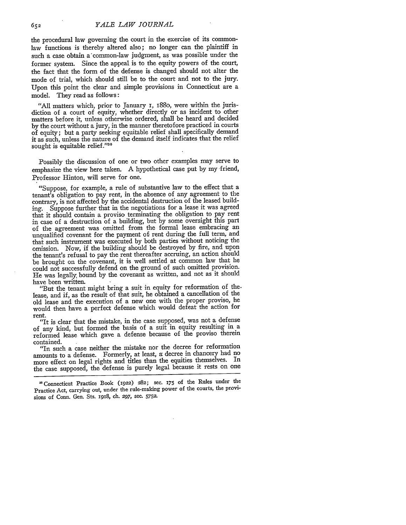the procedural law governing the court in the exercise of its commonlaw functions is thereby altered also; no longer can the plaintiff in such a case obtain a'common-law judgment, as was possible under the former system. Since the appeal is to the equity powers of the court, the fact that the form of the defense is changed should not alter the mode of trial, which should still be to the court and not to the jury. Upon this point the clear and simple provisions in Connecticut are a model. They read as follows:

**"All** matters which, prior to January **I,** 188o, were within the jurisdiction of a court of equity, whether directly or as incident to other matters before it, unless otherwise ordered, shall be heard and decided by the court without a jury, in the manner theretofore practiced in courts of equity; but a party seeking equitable relief shall specifically demand it as such, unless the nature of the demand itself indicates that the relief sought is equitable relief."30

Possibly the discussion of one or two other examples may serve to emphasize the view here taken. A hypothetical case put by my friend, Professor Hinton, will serve for one.

"Suppose, for example, a rule of substantive law to the effect that a tenant's obligation to pay rent, in the absence of any agreement to the contrary, is not affected by the accidental destruction of the leased building. Suppose further that in the negotiations for a lease it was agreed that it should contain a proviso terminating the obligation to pay rent in case of a destruction of a building, but by some oversight this part of the agreement was omitted from the formal lease embracing an unqualified covenant for the payment of rent during the full term, and that such instrument was executed by both parties without noticing the omission. Now, if the building should be destroyed by fire, and upon the tenant's refusal to pay the rent thereafter accruing, an action should be brought on the covenant, it is well settled at common law that he could not successfully defend on the ground of such omitted provision. He was legally, bound by the covenant as written, and not as it should have been written.

"But the tenant might bring a suit in equity for reformation of the. lease, and if, as the result of that suit, he obtained a cancellation of the old lease and the execution of a new one with the proper proviso, he would then have a perfect defense which would defeat the action for rent.

"It is clear that the mistake, in the case supposed, was not a defense of any kind, but formed the basis of a suit in equity resulting in a reformed lease which gave a defense because of the proviso therein contained.

"In such a case neither the mistake nor the decree for reformation amounts to a defense. Formerly, at least, a decree in chancery had no more effect on legal rights and titles than the equities themselves. In the case supposed, the defense is purely legal because it rests on one

"Connecticut Practice Book (1922) **282;** sec. **175** of the Rules under the Practice Act, carrying out, under the rule-making power of the courts, the provisions of Conn. Gen. Sts. igiS, ch. **297,** sec. **5752.**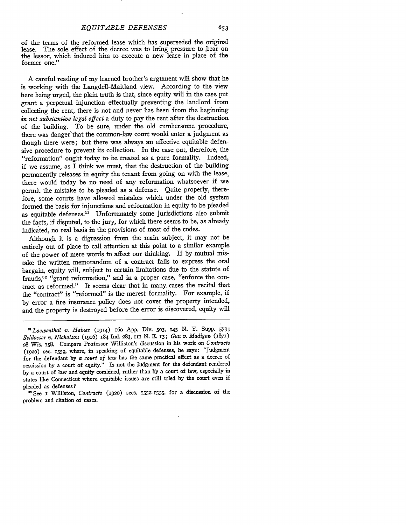of the terms of the reformed lease which has superseded the original lease. The sole effect of the decree was to bring pressure to .bear on the lessor, which induced him to execute a new lease in place of the former one."

A careful reading of my learned brother's argument will show that he is working with the Langdell-Maitland view. According to the view here being urged, the plain truth is that, since equity will in the case put grant a perpetual injunction effectually preventing the landlord from collecting the rent, there is not and never has been from the beginning *in net substantive legal effect* a duty to pay the rent after the destruction of the building. To be sure, under the old cumbersome procedure, there was danger'that the common-law court would enter a judgment as though there were; but there was always an effective equitable defensive procedure to prevent its collection. In the case put, therefore, the "reformation" ought today to be treated as a pure formality. Indeed, if we assume, as I think we must, that the destruction of the building permanently releases in equity the tenant from going on with the lease, there would today be no need of any reformation whatsoever if we permit the mistake to be pleaded as a defense. Quite properly, therefore, some courts have allowed mistakes which under the old system formed the basis for injunctions and reformation in equity to be pleaded as equitable defenses.<sup>31</sup> Unfortunately some jurisdictions also submit the facts, if disputed, to the jury, for which there seems to be, as already indicated, no real basis in the provisions of most of the codes.

Although it is a digression from the main subject, it may not be entirely out of place to call attention at this point to a similar example of the power of mere words to affect our thinking. If by mutual mistake the written memorandum of a contract fails to express the oral bargain, equity will, subject to certain limitations due to the statute of frauds,<sup>32</sup> "grant reformation," and in a proper case, "enforce the contract as reformed." It seems clear that in many. cases the recital that the "contract" is "reformed" is the merest formality. For example, if by error a fire insurance policy does not cover the property intended, and the property is destroyed before the error is discovered, equity will

*<sup>&#</sup>x27;Loewenthal v. Haiiws* (94) i6o **App.** Div. 5o3, 145 **N.** Y. Supp. **579;** *Schlosser v. Niclwlson* (1916) 184 Ind. 283, 111 **N. E.** 13; *Gun v. Madigan* (1871) **<sup>28</sup>**Wis. i58. Compare Professor Williston's discussion in his work on *Contracts* (1920) sec. **1559,** where, in speaking of equitable defenses, he says: "Judgment for the defendant by *a court of law* has the same practical effect as a decree of rescission **by** a court of equity." Is not the judgment for the defendant rendered by a court of law and equity combined, rather than **by** a court of law, especially in states like Connecticut where equitable issues are still tried by the court even if pleaded as defenses?

<sup>\*&#</sup>x27; See **i** Williston, *Contracts (i92o)* secs. 1552-1555, for a discussion of the problem and citation of cases.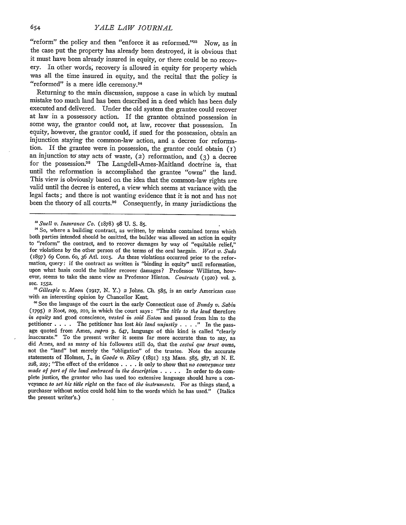"reform" the policy and then "enforce it as reformed."<sup>33</sup> Now, as in the case put the property has already been destroyed, it is obvious that it must have been already insured in equity, or there could be no recovery. In other words, recovery is allowed in equity **for** property which was all the time insured in equity, and the recital that the policy is "reformed" is a mere idle ceremony.<sup>34</sup>

Returning to the main discussion, suppose a case in which by mutual mistake too much land has been described in a deed which has been duly executed and delivered. Under the old system the grantee could recover at law in a possessory action. If the grantee obtained possession in some way, the grantor could not, at law, recover that possession. In equity, however, the grantor could, if sued for the possession, obtain an injunction staying the common-law action, and a decree for reformation. If the grantee were in possession, the grantor could obtain  $(1)$ an injunction to stay acts of waste, (2) reformation, and **(3)** a decree for the possession.<sup>35</sup> The Langdell-Ames-Maitland doctrine is, that until the reformation is accomplished the grantee "owns" the land. This view is obviously based on the idea that the common-law rights are valid until the decree is entered, a view which seems at variance with the legal facts; and there is not wanting evidence that it is not and has not been the theory of all courts.<sup>36</sup> Consequently, in many jurisdictions the

<sup>34</sup> So, where a building contract, as written, by mistake contained terms which both parties intended should be omitted, the builder was allowed an action in equity to "reform" the contract, and to recover damages by way of "equitable relief," for violations by the other person of the terms of the oral bargain. *West v. Suda* (1897) 69 Conn. **6o,** 36 Atl. 1O15. As these violations occurred prior to the reformation, query: if the contract as written is "binding in equity" until reformation, upon what basis could the builder recover damages? Professor Williston, however, seems to take the same view as Professor Hinton. *Contracts* (1920) vol. 3, sec. **1552.**

*Gillespie v. Moon* **(917, N.** Y.) 2 Johns. **Ch.** 585, is an early American case with an interesting opinion by Chancellor Kent.

See the language of the court in the early Connecticut case of *Bundy v. Sabin* (1795) 2 Root, **209,** 210, in which the court says: "The *title to the land* therefore in *equity* and good conscience, *vested in said Eaton* and passed from him to the petitioner . **. .** . The petitioner has lost *his* land *unjustly .* **.** . **."** In the passage quoted from Ames, *supra* **p.** 647, language of this kind is called "clearly inaccurate." To the present writer it seems far more accurate than to say, as did Ames, and as many of his followers still do, that the *cestui* que *trust* owns, not the "land" but merely the "obligation" of the trustee. Note the accurate statements of Holmes, J., in *Goode v. Riley* (1891) 153 Mass. 585, 587, 28 N. E.<br>228, 229; "The effect of the evidence . . . . is only to show that *no conveyance was* made of part of the land embraced in the description  $\dots$ . In order to do complete justice, the grantor who has used too extensive language should have a conveyance to set his title right on the face of the instruments. F the present writer's.)

*Sitell v. Iisurance Co.* (1878) 98 U. S. **85.**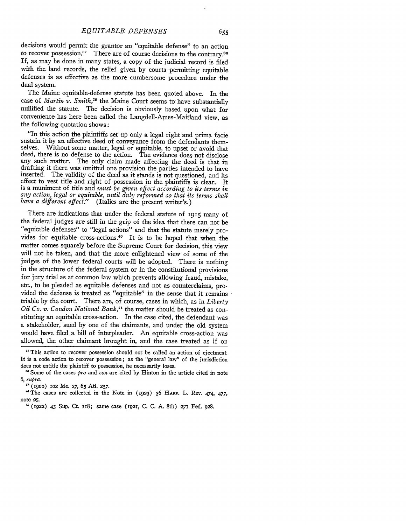decisions would permit the grantor an "equitable defense" to an action to recover possession.<sup>37</sup> There are of course decisions to the contrary.<sup>38</sup> If, as may be done in many states, a copy of the judicial record is filed with the land records, the relief given by courts permitting equitable defenses is as effective as the more cumbersome procedure under the dual system.

The Maine equitable-defense statute has been quoted above. In the case of *Martin v. Smith,"9* the Maine Court seems to have substantially nullified the statute. The decision is obviously based upon what for convenience has here been called the Langdell-Ames-Maitland view, as the following quotation shows:

"In this action the plaintiffs set up only a legal right and prima facie sustain it by an effective deed of conveyance from the defendants themselves. Without some matter, legal or equitable, to upset or avoid that deed, there is no defense to the action. The evidence does not disclose any such matter. The only claim made affecting the deed is that in drafting it there was omitted one provision the parties intended to have inserted. The validity of the deed as it stands is not questioned, and its effect to vest title and right of possession in the plaintiffs is clear. It is a muniment of titie and *must be given effect according to its terms in any action, legal or equitable, until duly reformed so that its terms shall have a different effect."* (Italics are the present writer's.)

There are indications that under the federal statute of 1915 many of the federal judges are still in the grip of the idea that there can not be "equitable defenses" to "legal actions" and that the statute merely provides for equitable cross-actions.<sup>40</sup> It is to be hoped that when the matter comes squarely before the Supreme Court for decision, this view will not be taken, and that the more enlightened view of some of the judges of the lower federal courts will be adopted. There is nothing in the structure of the federal system or in the constitutional provisions for jury trial as at common law which prevents allowing fraud, mistake, etc., to be pleaded as equitable defenses and not as counterclaims, provided the defense is treated as "equitable" in the sense that it remains triable **by** the court. There are, of course, cases in which, as in *Liberty Oil Co. v. Condon National Bank,"'* the matter should be treated as constituting an equitable cross-action. In the case cited, the defendant was a stakeholder, sued by one of the claimants, and under the old system would have filed a bill of interpleader. An equitable cross-action was allowed, the other claimant brought in, and the case treated as if on

<sup>37</sup> This action to recover possession should not be called an action of ejectment It is a code action to recover possession; as the "general law" of the jurisdiction does not entitle the plaintiff to possession, he necessarily loses.

" Some of the cases *pro and con* are cited by Hinton in the article cited in note *6, supra.*

(19oo) *102* Me. *27,* **65** Atl. *257.*

The cases are collected in the Note in **(1923)** 36 HARv. L. **REv.** 474, 477, note **25.**

**'(1922)** 43 Sup. Ct 118; same case **(I92I,** C. C. A. 8th) 271 Fed. **928.**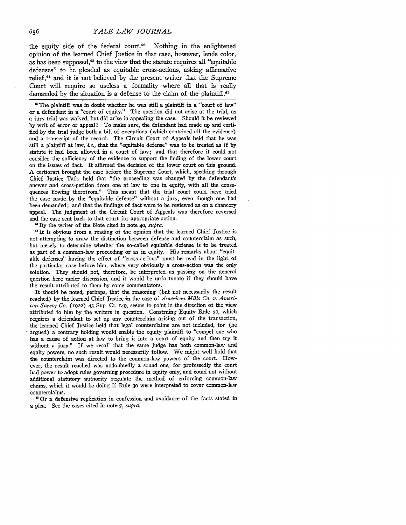the equity side of the federal court.<sup>42</sup> Nothing in the enlightened opinion of the learned Chief Justice in that case, however, lends color, as has been supposed,<sup>43</sup> to the view that the statute requires all "equitable defenses" to be pleaded as equitable cross-actions, asking affirmative relief,44 and it is not believed by the present writer that the Supreme Court will require so useless a formality where all that is really demanded by the situation is a defense to the claim of the plaintiff.<sup>45</sup>

'The plaintiff was in doubt whether he was still a plaintiff in a "court of law" or a defendant in a "court of equity." The question did not arise at the trial, as a jury trial was waived, but did arise in appealing the case. Should it be reviewed by writ of error or appeal? To make sure, the defendant had made up and certified by the trial judge both a bill of exceptions (which contained all the evidence) and a transcript of the record. The Circuit Court of Appeals held that he was still a plaintiff at law, *i.e.,* that the "equitable defense" was to be treated as if by statute it had been allowed in a court of law; and that therefore it could not consider the sufficiency of the evidence to support the finding of the lower court on the issues of fact. It affirmed the decision of the lower court on this ground. A certiorari brought the case before the Supreme Court, which, speaking through Chief Justice Taft, held that "the proceeding was changed by the defendant's answer and cross-petition from one at law to one in equity, with all the consequences flowing therefrom." This meant that the trial court could have tried the case made, by the "equitable defense" without a jury, even though one had been demanded; and that the findings of fact were to be reviewed as on a chancery appeal. The judgment of the Circuit Court of Appeals was therefore reversed and the case sent back to that court for appropriate action.

**'By** the writer of the Note cited in note 4o, *supra.*

**"** It is obvious from a reading of the opinion that the learned Chief Justice is not attempting to draw the distinction between defense and counterclaim as such, but merely to determine whether the so-called equitable defense is to be treated as part of a common-law proceeding or as in equity. His remarks about "equitable defenses" having the effect of "cross-actions" must be read in the light of the particular case before him, where very obviously a cross-action was the only solution. They should not, therefore, be interpreted as passing on the general question here under discussion, and it would be unfortunate if they should have the result attributed to them by some commentators.

It should be noted, perhaps, that the reasoning (but not necessarily the result reached) by the learned Chief Justice in the case of *Amnerican Mills Co. v. Anerican Surety* Co. (1922) 43 Sup. Ct **149,** seems to point in the direction of the view attributed to him by the writers in question. Construing Equity Rule **30,** which requires a defendant to set up any counterclaim arising out of the transaction, the learned Chief Justice held that legal counterclaims are not included, for (he argued) a contrary holding would enable the equity plaintiff to "compel one who has a cause of action at law to bring it into a court of equity and then try it without a jury." If we recall that the same judge has both common-law and equity powers, no such result would necessarily follow. We might well hold that the counterclaim was directed to the common-law powers of the court. However, the result reached was undoubtedly a sound one, for professedly the court had power to adopt rules governing procedure in equity only, and could not without additional statutory authority regulate the method of enforcing common-law claims, which it would be doing if Rule 3o were interpreted to cover common-law counterclaims.

"Or a defensive replication in confession and avoidance of the facts stated in a plea. See the cases cited in note 7, *supra.*